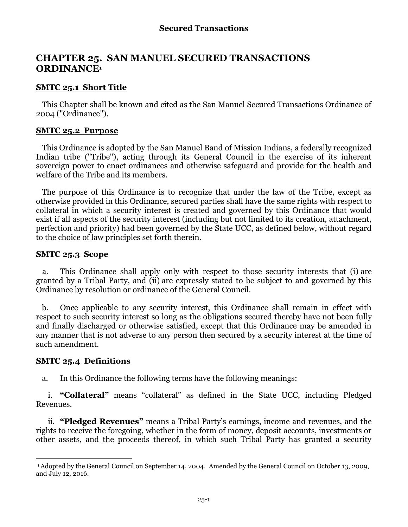# **CHAPTER 25. SAN MANUEL SECURED TRANSACTIONS ORDINANCE<sup>1</sup>**

### **SMTC 25.1 Short Title**

This Chapter shall be known and cited as the San Manuel Secured Transactions Ordinance of 2004 ("Ordinance").

#### **SMTC 25.2 Purpose**

This Ordinance is adopted by the San Manuel Band of Mission Indians, a federally recognized Indian tribe ("Tribe"), acting through its General Council in the exercise of its inherent sovereign power to enact ordinances and otherwise safeguard and provide for the health and welfare of the Tribe and its members.

The purpose of this Ordinance is to recognize that under the law of the Tribe, except as otherwise provided in this Ordinance, secured parties shall have the same rights with respect to collateral in which a security interest is created and governed by this Ordinance that would exist if all aspects of the security interest (including but not limited to its creation, attachment, perfection and priority) had been governed by the State UCC, as defined below, without regard to the choice of law principles set forth therein.

### **SMTC 25.3 Scope**

a. This Ordinance shall apply only with respect to those security interests that (i) are granted by a Tribal Party, and (ii) are expressly stated to be subject to and governed by this Ordinance by resolution or ordinance of the General Council.

b. Once applicable to any security interest, this Ordinance shall remain in effect with respect to such security interest so long as the obligations secured thereby have not been fully and finally discharged or otherwise satisfied, except that this Ordinance may be amended in any manner that is not adverse to any person then secured by a security interest at the time of such amendment.

#### **SMTC 25.4 Definitions**

l

a. In this Ordinance the following terms have the following meanings:

i. **"Collateral"** means "collateral" as defined in the State UCC, including Pledged Revenues.

ii. **"Pledged Revenues"** means a Tribal Party's earnings, income and revenues, and the rights to receive the foregoing, whether in the form of money, deposit accounts, investments or other assets, and the proceeds thereof, in which such Tribal Party has granted a security

<sup>1</sup>Adopted by the General Council on September 14, 2004. Amended by the General Council on October 13, 2009, and July 12, 2016.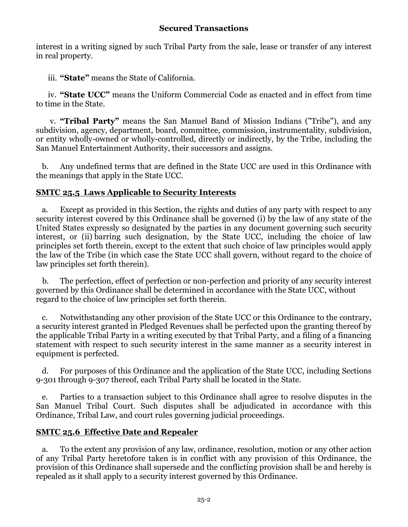## **Secured Transactions**

interest in a writing signed by such Tribal Party from the sale, lease or transfer of any interest in real property.

iii. **"State"** means the State of California.

iv. **"State UCC"** means the Uniform Commercial Code as enacted and in effect from time to time in the State.

v. **"Tribal Party"** means the San Manuel Band of Mission Indians ("Tribe"), and any subdivision, agency, department, board, committee, commission, instrumentality, subdivision, or entity wholly-owned or wholly-controlled, directly or indirectly, by the Tribe, including the San Manuel Entertainment Authority, their successors and assigns.

b. Any undefined terms that are defined in the State UCC are used in this Ordinance with the meanings that apply in the State UCC.

# **SMTC 25.5 Laws Applicable to Security Interests**

a. Except as provided in this Section, the rights and duties of any party with respect to any security interest covered by this Ordinance shall be governed (i) by the law of any state of the United States expressly so designated by the parties in any document governing such security interest, or (ii) barring such designation, by the State UCC, including the choice of law principles set forth therein, except to the extent that such choice of law principles would apply the law of the Tribe (in which case the State UCC shall govern, without regard to the choice of law principles set forth therein).

b. The perfection, effect of perfection or non-perfection and priority of any security interest governed by this Ordinance shall be determined in accordance with the State UCC, without regard to the choice of law principles set forth therein.

c. Notwithstanding any other provision of the State UCC or this Ordinance to the contrary, a security interest granted in Pledged Revenues shall be perfected upon the granting thereof by the applicable Tribal Party in a writing executed by that Tribal Party, and a filing of a financing statement with respect to such security interest in the same manner as a security interest in equipment is perfected.

d. For purposes of this Ordinance and the application of the State UCC, including Sections 9-301 through 9-307 thereof, each Tribal Party shall be located in the State.

e. Parties to a transaction subject to this Ordinance shall agree to resolve disputes in the San Manuel Tribal Court. Such disputes shall be adjudicated in accordance with this Ordinance, Tribal Law, and court rules governing judicial proceedings.

# **SMTC 25.6 Effective Date and Repealer**

a. To the extent any provision of any law, ordinance, resolution, motion or any other action of any Tribal Party heretofore taken is in conflict with any provision of this Ordinance, the provision of this Ordinance shall supersede and the conflicting provision shall be and hereby is repealed as it shall apply to a security interest governed by this Ordinance.